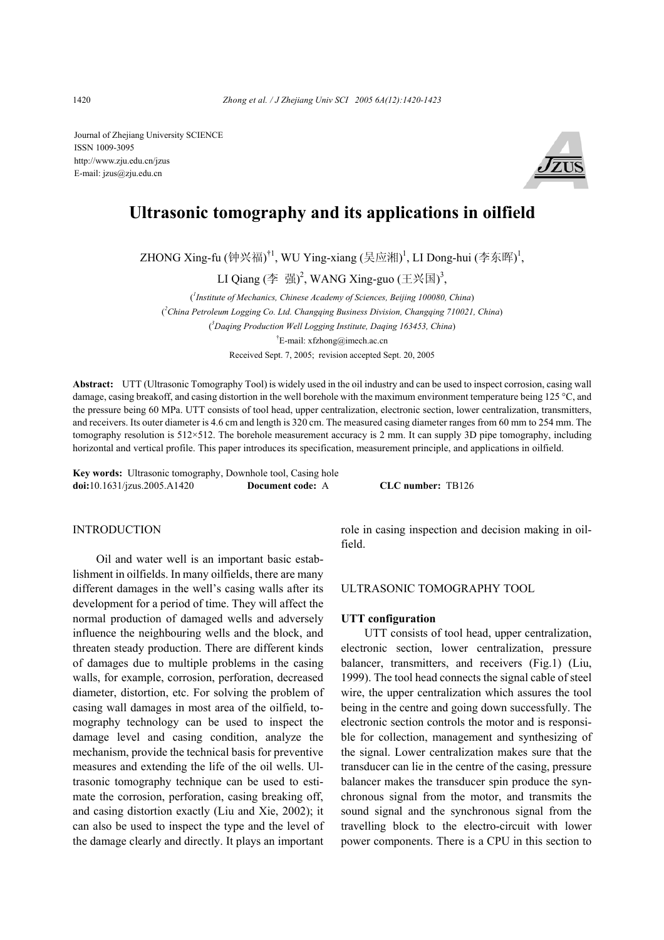Journal of Zhejiang University SCIENCE ISSN 1009-3095 http://www.zju.edu.cn/jzus E-mail: jzus@zju.edu.cn



# **Ultrasonic tomography and its applications in oilfield**

ZHONG Xing-fu (钟兴福)<sup>†1</sup>, WU Ying-xiang (吴应湘)<sup>1</sup>, LI Dong-hui (李东晖)<sup>1</sup>,

LI Qiang (李 强)<sup>2</sup>, WANG Xing-guo (王兴国)<sup>3</sup>,

( *1 Institute of Mechanics, Chinese Academy of Sciences, Beijing 100080, China*) ( *2 China Petroleum Logging Co. Ltd. Changqing Business Division, Changqing 710021, China*) ( *3 Daqing Production Well Logging Institute, Daqing 163453, China*) † E-mail: xfzhong@imech.ac.cn Received Sept. 7, 2005; revision accepted Sept. 20, 2005

**Abstract:** UTT (Ultrasonic Tomography Tool) is widely used in the oil industry and can be used to inspect corrosion, casing wall damage, casing breakoff, and casing distortion in the well borehole with the maximum environment temperature being 125 °C, and the pressure being 60 MPa. UTT consists of tool head, upper centralization, electronic section, lower centralization, transmitters, and receivers. Its outer diameter is 4.6 cm and length is 320 cm. The measured casing diameter ranges from 60 mm to 254 mm. The tomography resolution is  $512 \times 512$ . The borehole measurement accuracy is 2 mm. It can supply 3D pipe tomography, including horizontal and vertical profile. This paper introduces its specification, measurement principle, and applications in oilfield.

**Key words:** Ultrasonic tomography, Downhole tool, Casing hole **doi:**10.1631/jzus.2005.A1420 **Document code:** A **CLC number:** TB126

### **INTRODUCTION**

Oil and water well is an important basic establishment in oilfields. In many oilfields, there are many different damages in the well's casing walls after its development for a period of time. They will affect the normal production of damaged wells and adversely influence the neighbouring wells and the block, and threaten steady production. There are different kinds of damages due to multiple problems in the casing walls, for example, corrosion, perforation, decreased diameter, distortion, etc. For solving the problem of casing wall damages in most area of the oilfield, tomography technology can be used to inspect the damage level and casing condition, analyze the mechanism, provide the technical basis for preventive measures and extending the life of the oil wells. Ultrasonic tomography technique can be used to estimate the corrosion, perforation, casing breaking off, and casing distortion exactly (Liu and Xie, 2002); it can also be used to inspect the type and the level of the damage clearly and directly. It plays an important role in casing inspection and decision making in oilfield.

#### ULTRASONIC TOMOGRAPHY TOOL

## **UTT configuration**

UTT consists of tool head, upper centralization, electronic section, lower centralization, pressure balancer, transmitters, and receivers (Fig.1) (Liu, 1999). The tool head connects the signal cable of steel wire, the upper centralization which assures the tool being in the centre and going down successfully. The electronic section controls the motor and is responsible for collection, management and synthesizing of the signal. Lower centralization makes sure that the transducer can lie in the centre of the casing, pressure balancer makes the transducer spin produce the synchronous signal from the motor, and transmits the sound signal and the synchronous signal from the travelling block to the electro-circuit with lower power components. There is a CPU in this section to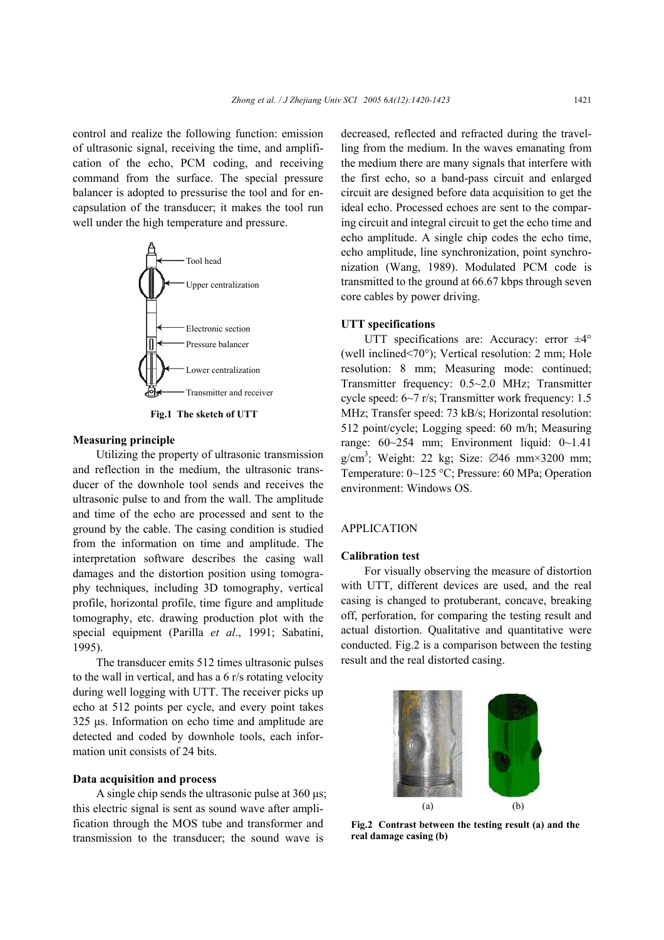control and realize the following function: emission of ultrasonic signal, receiving the time, and amplification of the echo, PCM coding, and receiving command from the surface. The special pressure balancer is adopted to pressurise the tool and for encapsulation of the transducer; it makes the tool run well under the high temperature and pressure.



**Fig.1 The sketch of UTT** 

## **Measuring principle**

Utilizing the property of ultrasonic transmission and reflection in the medium, the ultrasonic transducer of the downhole tool sends and receives the ultrasonic pulse to and from the wall. The amplitude and time of the echo are processed and sent to the ground by the cable. The casing condition is studied from the information on time and amplitude. The interpretation software describes the casing wall damages and the distortion position using tomography techniques, including 3D tomography, vertical profile, horizontal profile, time figure and amplitude tomography, etc. drawing production plot with the special equipment (Parilla *et al*., 1991; Sabatini, 1995).

The transducer emits 512 times ultrasonic pulses to the wall in vertical, and has a 6 r/s rotating velocity during well logging with UTT. The receiver picks up echo at 512 points per cycle, and every point takes 325 µs. Information on echo time and amplitude are detected and coded by downhole tools, each information unit consists of 24 bits.

#### **Data acquisition and process**

A single chip sends the ultrasonic pulse at 360 µs; this electric signal is sent as sound wave after amplification through the MOS tube and transformer and transmission to the transducer; the sound wave is

decreased, reflected and refracted during the travelling from the medium. In the waves emanating from the medium there are many signals that interfere with the first echo, so a band-pass circuit and enlarged circuit are designed before data acquisition to get the ideal echo. Processed echoes are sent to the comparing circuit and integral circuit to get the echo time and echo amplitude. A single chip codes the echo time, echo amplitude, line synchronization, point synchronization (Wang, 1989). Modulated PCM code is transmitted to the ground at 66.67 kbps through seven core cables by power driving.

# **UTT specifications**

UTT specifications are: Accuracy: error ±4° (well inclined<70°); Vertical resolution: 2 mm; Hole resolution: 8 mm; Measuring mode: continued; Transmitter frequency: 0.5~2.0 MHz; Transmitter cycle speed: 6~7 r/s; Transmitter work frequency: 1.5 MHz; Transfer speed: 73 kB/s; Horizontal resolution: 512 point/cycle; Logging speed: 60 m/h; Measuring range: 60~254 mm; Environment liquid: 0~1.41 g/cm<sup>3</sup>; Weight: 22 kg; Size:  $\varnothing$ 46 mm×3200 mm; Temperature: 0~125 °C; Pressure: 60 MPa; Operation environment: Windows OS.

# APPLICATION

## **Calibration test**

For visually observing the measure of distortion with UTT, different devices are used, and the real casing is changed to protuberant, concave, breaking off, perforation, for comparing the testing result and actual distortion. Qualitative and quantitative were conducted. Fig.2 is a comparison between the testing result and the real distorted casing.



**Fig.2 Contrast between the testing result (a) and the real damage casing (b)**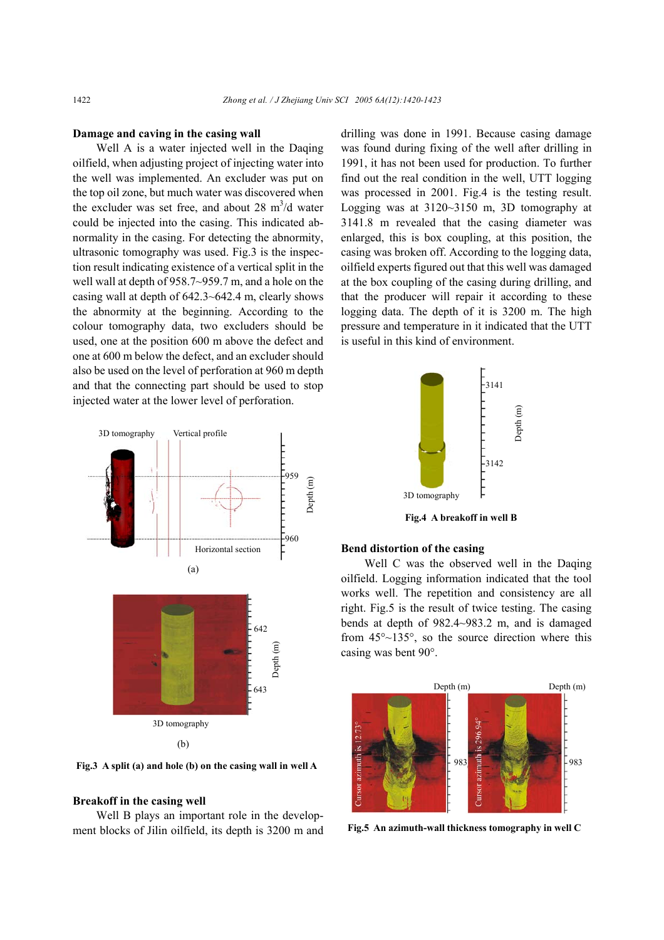#### **Damage and caving in the casing wall**

Well A is a water injected well in the Daqing oilfield, when adjusting project of injecting water into the well was implemented. An excluder was put on the top oil zone, but much water was discovered when the excluder was set free, and about 28  $m^3/d$  water could be injected into the casing. This indicated abnormality in the casing. For detecting the abnormity, ultrasonic tomography was used. Fig.3 is the inspection result indicating existence of a vertical split in the well wall at depth of 958.7~959.7 m, and a hole on the casing wall at depth of 642.3~642.4 m, clearly shows the abnormity at the beginning. According to the colour tomography data, two excluders should be used, one at the position 600 m above the defect and one at 600 m below the defect, and an excluder should also be used on the level of perforation at 960 m depth and that the connecting part should be used to stop injected water at the lower level of perforation.



**Fig.3 A split (a) and hole (b) on the casing wall in well A**

## **Breakoff in the casing well**

Well B plays an important role in the development blocks of Jilin oilfield, its depth is 3200 m and drilling was done in 1991. Because casing damage was found during fixing of the well after drilling in 1991, it has not been used for production. To further find out the real condition in the well, UTT logging was processed in 2001. Fig.4 is the testing result. Logging was at 3120~3150 m, 3D tomography at 3141.8 m revealed that the casing diameter was enlarged, this is box coupling, at this position, the casing was broken off. According to the logging data, oilfield experts figured out that this well was damaged at the box coupling of the casing during drilling, and that the producer will repair it according to these logging data. The depth of it is 3200 m. The high pressure and temperature in it indicated that the UTT is useful in this kind of environment.



**Fig.4 A breakoff in well B** 

# **Bend distortion of the casing**

Well C was the observed well in the Daqing oilfield. Logging information indicated that the tool works well. The repetition and consistency are all right. Fig.5 is the result of twice testing. The casing bends at depth of 982.4~983.2 m, and is damaged from 45°~135°, so the source direction where this casing was bent 90°.



**Fig.5 An azimuth-wall thickness tomography in well C**